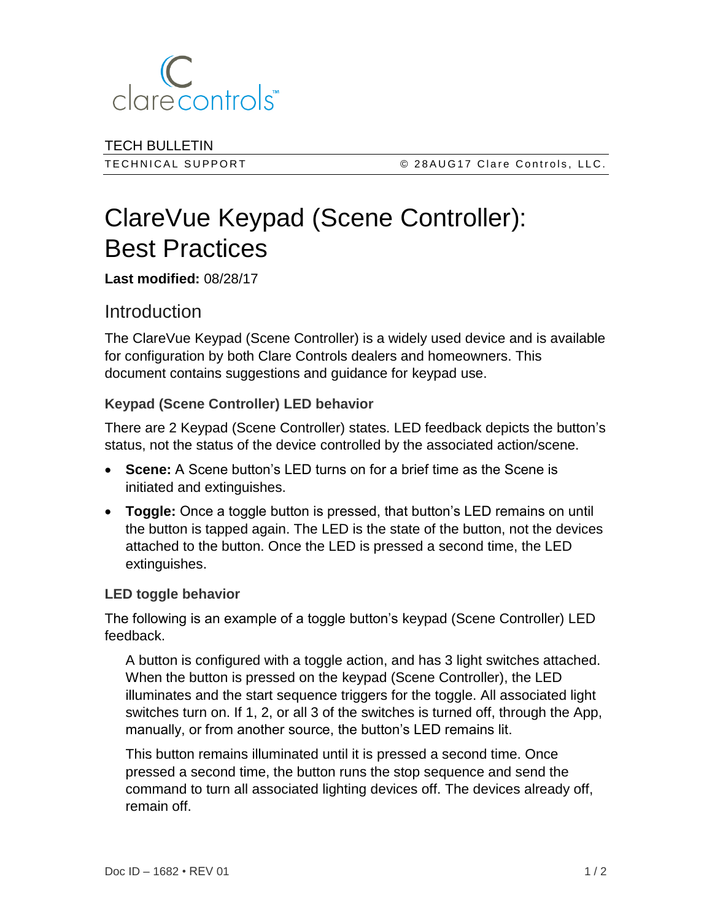

TECH BULLETIN

TECHNICAL SUPPORT CRACE CONTROL CLATE CONTROLS, LLC.

# ClareVue Keypad (Scene Controller): Best Practices

**Last modified:** 08/28/17

# **Introduction**

The ClareVue Keypad (Scene Controller) is a widely used device and is available for configuration by both Clare Controls dealers and homeowners. This document contains suggestions and guidance for keypad use.

## **Keypad (Scene Controller) LED behavior**

There are 2 Keypad (Scene Controller) states. LED feedback depicts the button's status, not the status of the device controlled by the associated action/scene.

- **Scene:** A Scene button's LED turns on for a brief time as the Scene is initiated and extinguishes.
- **Toggle:** Once a toggle button is pressed, that button's LED remains on until the button is tapped again. The LED is the state of the button, not the devices attached to the button. Once the LED is pressed a second time, the LED extinguishes.

#### **LED toggle behavior**

The following is an example of a toggle button's keypad (Scene Controller) LED feedback.

A button is configured with a toggle action, and has 3 light switches attached. When the button is pressed on the keypad (Scene Controller), the LED illuminates and the start sequence triggers for the toggle. All associated light switches turn on. If 1, 2, or all 3 of the switches is turned off, through the App, manually, or from another source, the button's LED remains lit.

This button remains illuminated until it is pressed a second time. Once pressed a second time, the button runs the stop sequence and send the command to turn all associated lighting devices off. The devices already off, remain off.